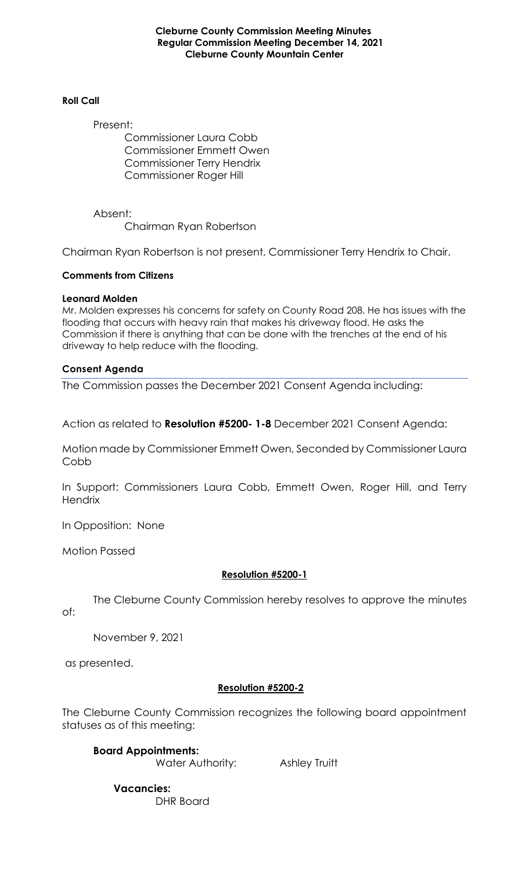**Cleburne County Commission Meeting Minutes Regular Commission Meeting December 14, 2021 Cleburne County Mountain Center**

### **Roll Call**

Present:

Commissioner Laura Cobb Commissioner Emmett Owen Commissioner Terry Hendrix Commissioner Roger Hill

Absent: Chairman Ryan Robertson

Chairman Ryan Robertson is not present, Commissioner Terry Hendrix to Chair.

## **Comments from Citizens**

### **Leonard Molden**

Mr. Molden expresses his concerns for safety on County Road 208. He has issues with the flooding that occurs with heavy rain that makes his driveway flood. He asks the Commission if there is anything that can be done with the trenches at the end of his driveway to help reduce with the flooding.

### **Consent Agenda**

The Commission passes the December 2021 Consent Agenda including:

Action as related to **Resolution #5200- 1-8** December 2021 Consent Agenda:

Motion made by Commissioner Emmett Owen, Seconded by Commissioner Laura Cobb

In Support: Commissioners Laura Cobb, Emmett Owen, Roger Hill, and Terry **Hendrix** 

In Opposition: None

Motion Passed

## **Resolution #5200-1**

The Cleburne County Commission hereby resolves to approve the minutes

of:

November 9, 2021

as presented.

## **Resolution #5200-2**

The Cleburne County Commission recognizes the following board appointment statuses as of this meeting:

**Board Appointments:**  Water Authority: Ashley Truitt

 **Vacancies:**  DHR Board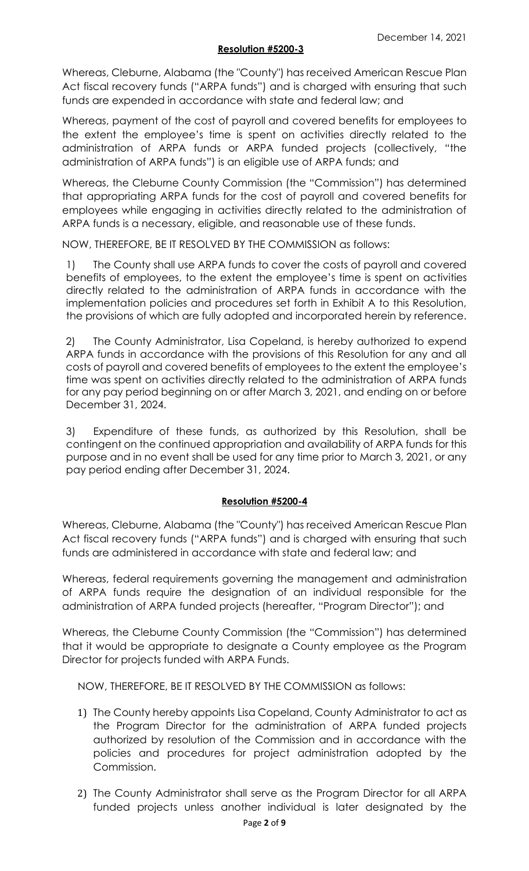### **Resolution #5200-3**

Whereas, Cleburne, Alabama (the "County") has received American Rescue Plan Act fiscal recovery funds ("ARPA funds") and is charged with ensuring that such funds are expended in accordance with state and federal law; and

Whereas, payment of the cost of payroll and covered benefits for employees to the extent the employee's time is spent on activities directly related to the administration of ARPA funds or ARPA funded projects (collectively, "the administration of ARPA funds") is an eligible use of ARPA funds; and

Whereas, the Cleburne County Commission (the "Commission") has determined that appropriating ARPA funds for the cost of payroll and covered benefits for employees while engaging in activities directly related to the administration of ARPA funds is a necessary, eligible, and reasonable use of these funds.

NOW, THEREFORE, BE IT RESOLVED BY THE COMMISSION as follows:

1) The County shall use ARPA funds to cover the costs of payroll and covered benefits of employees, to the extent the employee's time is spent on activities directly related to the administration of ARPA funds in accordance with the implementation policies and procedures set forth in Exhibit A to this Resolution, the provisions of which are fully adopted and incorporated herein by reference.

2) The County Administrator, Lisa Copeland, is hereby authorized to expend ARPA funds in accordance with the provisions of this Resolution for any and all costs of payroll and covered benefits of employees to the extent the employee's time was spent on activities directly related to the administration of ARPA funds for any pay period beginning on or after March 3, 2021, and ending on or before December 31, 2024.

3) Expenditure of these funds, as authorized by this Resolution, shall be contingent on the continued appropriation and availability of ARPA funds for this purpose and in no event shall be used for any time prior to March 3, 2021, or any pay period ending after December 31, 2024.

## **Resolution #5200-4**

Whereas, Cleburne, Alabama (the "County") has received American Rescue Plan Act fiscal recovery funds ("ARPA funds") and is charged with ensuring that such funds are administered in accordance with state and federal law; and

Whereas, federal requirements governing the management and administration of ARPA funds require the designation of an individual responsible for the administration of ARPA funded projects (hereafter, "Program Director"); and

Whereas, the Cleburne County Commission (the "Commission") has determined that it would be appropriate to designate a County employee as the Program Director for projects funded with ARPA Funds.

NOW, THEREFORE, BE IT RESOLVED BY THE COMMISSION as follows:

- 1) The County hereby appoints Lisa Copeland, County Administrator to act as the Program Director for the administration of ARPA funded projects authorized by resolution of the Commission and in accordance with the policies and procedures for project administration adopted by the Commission.
- 2) The County Administrator shall serve as the Program Director for all ARPA funded projects unless another individual is later designated by the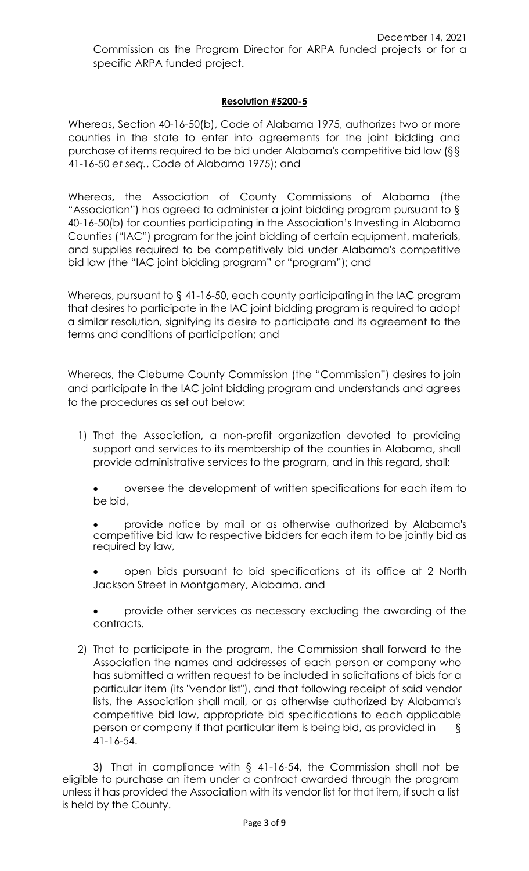# **Resolution #5200-5**

Whereas**,** Section 40-16-50(b), Code of Alabama 1975, authorizes two or more counties in the state to enter into agreements for the joint bidding and purchase of items required to be bid under Alabama's competitive bid law (§§ 41-16-50 *et seq.*, Code of Alabama 1975); and

Whereas**,** the Association of County Commissions of Alabama (the "Association") has agreed to administer a joint bidding program pursuant to § 40-16-50(b) for counties participating in the Association's Investing in Alabama Counties ("IAC") program for the joint bidding of certain equipment, materials, and supplies required to be competitively bid under Alabama's competitive bid law (the "IAC joint bidding program" or "program"); and

Whereas, pursuant to § 41-16-50, each county participating in the IAC program that desires to participate in the IAC joint bidding program is required to adopt a similar resolution, signifying its desire to participate and its agreement to the terms and conditions of participation; and

Whereas, the Cleburne County Commission (the "Commission") desires to join and participate in the IAC joint bidding program and understands and agrees to the procedures as set out below:

1) That the Association, a non-profit organization devoted to providing support and services to its membership of the counties in Alabama, shall provide administrative services to the program, and in this regard, shall:

• oversee the development of written specifications for each item to be bid,

• provide notice by mail or as otherwise authorized by Alabama's competitive bid law to respective bidders for each item to be jointly bid as required by law,

• open bids pursuant to bid specifications at its office at 2 North Jackson Street in Montgomery, Alabama, and

• provide other services as necessary excluding the awarding of the contracts.

2) That to participate in the program, the Commission shall forward to the Association the names and addresses of each person or company who has submitted a written request to be included in solicitations of bids for a particular item (its "vendor list"), and that following receipt of said vendor lists, the Association shall mail, or as otherwise authorized by Alabama's competitive bid law, appropriate bid specifications to each applicable person or company if that particular item is being bid, as provided in § 41-16-54.

3) That in compliance with § 41-16-54, the Commission shall not be eligible to purchase an item under a contract awarded through the program unless it has provided the Association with its vendor list for that item, if such a list is held by the County.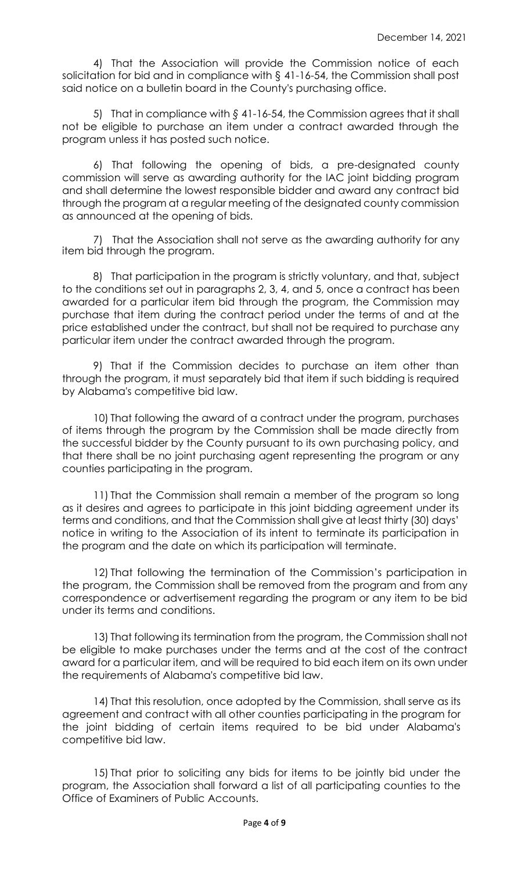4) That the Association will provide the Commission notice of each solicitation for bid and in compliance with § 41-16-54, the Commission shall post said notice on a bulletin board in the County's purchasing office.

5) That in compliance with *§* 41-16-54, the Commission agrees that it shall not be eligible to purchase an item under a contract awarded through the program unless it has posted such notice.

6) That following the opening of bids, a pre-designated county commission will serve as awarding authority for the IAC joint bidding program and shall determine the lowest responsible bidder and award any contract bid through the program at a regular meeting of the designated county commission as announced at the opening of bids.

7) That the Association shall not serve as the awarding authority for any item bid through the program.

8) That participation in the program is strictly voluntary, and that, subject to the conditions set out in paragraphs 2, 3, 4, and 5, once a contract has been awarded for a particular item bid through the program, the Commission may purchase that item during the contract period under the terms of and at the price established under the contract, but shall not be required to purchase any particular item under the contract awarded through the program.

9) That if the Commission decides to purchase an item other than through the program, it must separately bid that item if such bidding is required by Alabama's competitive bid law.

10) That following the award of a contract under the program, purchases of items through the program by the Commission shall be made directly from the successful bidder by the County pursuant to its own purchasing policy, and that there shall be no joint purchasing agent representing the program or any counties participating in the program.

11) That the Commission shall remain a member of the program so long as it desires and agrees to participate in this joint bidding agreement under its terms and conditions, and that the Commission shall give at least thirty (30) days' notice in writing to the Association of its intent to terminate its participation in the program and the date on which its participation will terminate.

12) That following the termination of the Commission's participation in the program, the Commission shall be removed from the program and from any correspondence or advertisement regarding the program or any item to be bid under its terms and conditions.

13) That following its termination from the program, the Commission shall not be eligible to make purchases under the terms and at the cost of the contract award for a particular item, and will be required to bid each item on its own under the requirements of Alabama's competitive bid law.

14) That this resolution, once adopted by the Commission, shall serve as its agreement and contract with all other counties participating in the program for the joint bidding of certain items required to be bid under Alabama's competitive bid law.

15) That prior to soliciting any bids for items to be jointly bid under the program, the Association shall forward a list of all participating counties to the Office of Examiners of Public Accounts.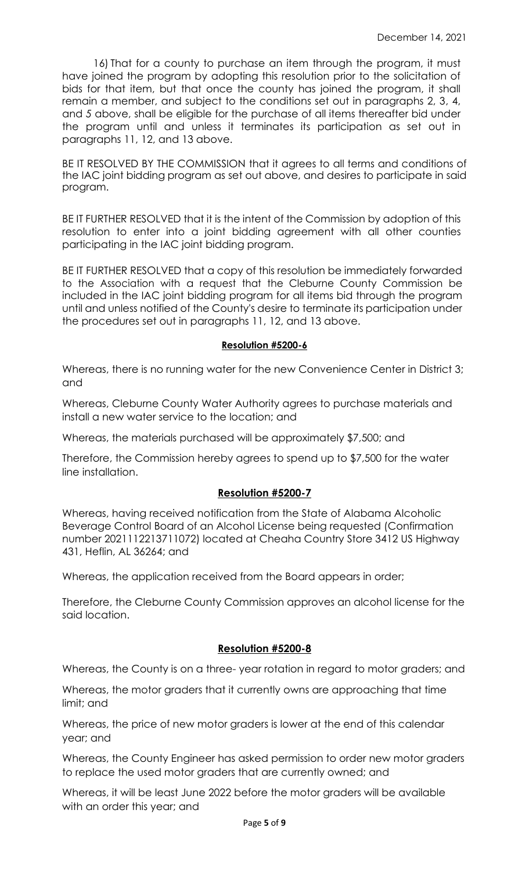16) That for a county to purchase an item through the program, it must have joined the program by adopting this resolution prior to the solicitation of bids for that item, but that once the county has joined the program, it shall remain a member, and subject to the conditions set out in paragraphs 2, 3, 4, and *5* above, shall be eligible for the purchase of all items thereafter bid under the program until and unless it terminates its participation as set out in paragraphs 11, 12, and 13 above.

BE IT RESOLVED BY THE COMMISSION that it agrees to all terms and conditions of the IAC joint bidding program as set out above, and desires to participate in said program.

BE IT FURTHER RESOLVED that it is the intent of the Commission by adoption of this resolution to enter into a joint bidding agreement with all other counties participating in the IAC joint bidding program.

BE IT FURTHER RESOLVED that a copy of this resolution be immediately forwarded to the Association with a request that the Cleburne County Commission be included in the IAC joint bidding program for all items bid through the program until and unless notified of the County's desire to terminate its participation under the procedures set out in paragraphs 11, 12, and 13 above.

### **Resolution #5200-6**

Whereas, there is no running water for the new Convenience Center in District 3; and

Whereas, Cleburne County Water Authority agrees to purchase materials and install a new water service to the location; and

Whereas, the materials purchased will be approximately \$7,500; and

Therefore, the Commission hereby agrees to spend up to \$7,500 for the water line installation.

## **Resolution #5200-7**

Whereas, having received notification from the State of Alabama Alcoholic Beverage Control Board of an Alcohol License being requested (Confirmation number 2021112213711072) located at Cheaha Country Store 3412 US Highway 431, Heflin, AL 36264; and

Whereas, the application received from the Board appears in order;

Therefore, the Cleburne County Commission approves an alcohol license for the said location.

### **Resolution #5200-8**

Whereas, the County is on a three- year rotation in regard to motor graders; and

Whereas, the motor graders that it currently owns are approaching that time limit; and

Whereas, the price of new motor graders is lower at the end of this calendar year; and

Whereas, the County Engineer has asked permission to order new motor graders to replace the used motor graders that are currently owned; and

Whereas, it will be least June 2022 before the motor graders will be available with an order this year; and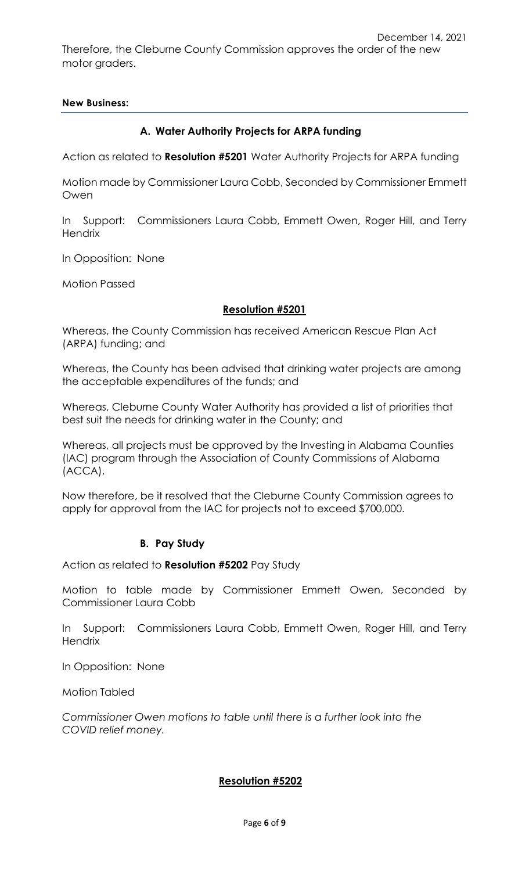December 14, 2021 Therefore, the Cleburne County Commission approves the order of the new motor graders.

## **New Business:**

# **A. Water Authority Projects for ARPA funding**

Action as related to **Resolution #5201** Water Authority Projects for ARPA funding

Motion made by Commissioner Laura Cobb, Seconded by Commissioner Emmett Owen

In Support: Commissioners Laura Cobb, Emmett Owen, Roger Hill, and Terry **Hendrix** 

In Opposition: None

Motion Passed

## **Resolution #5201**

Whereas, the County Commission has received American Rescue Plan Act (ARPA) funding; and

Whereas, the County has been advised that drinking water projects are among the acceptable expenditures of the funds; and

Whereas, Cleburne County Water Authority has provided a list of priorities that best suit the needs for drinking water in the County; and

Whereas, all projects must be approved by the Investing in Alabama Counties (IAC) program through the Association of County Commissions of Alabama (ACCA).

Now therefore, be it resolved that the Cleburne County Commission agrees to apply for approval from the IAC for projects not to exceed \$700,000.

## **B. Pay Study**

Action as related to **Resolution #5202** Pay Study

Motion to table made by Commissioner Emmett Owen, Seconded by Commissioner Laura Cobb

In Support: Commissioners Laura Cobb, Emmett Owen, Roger Hill, and Terry **Hendrix** 

In Opposition: None

Motion Tabled

*Commissioner Owen motions to table until there is a further look into the COVID relief money.*

## **Resolution #5202**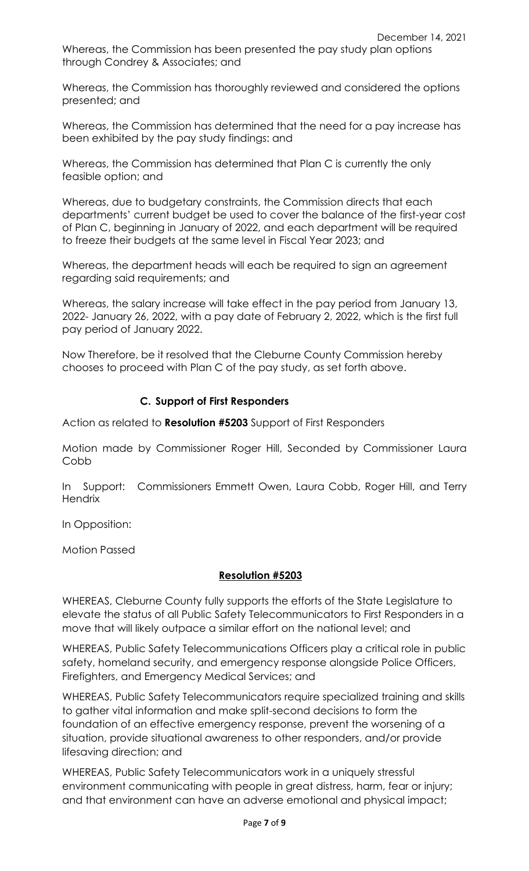Whereas, the Commission has been presented the pay study plan options through Condrey & Associates; and

Whereas, the Commission has thoroughly reviewed and considered the options presented; and

Whereas, the Commission has determined that the need for a pay increase has been exhibited by the pay study findings: and

Whereas, the Commission has determined that Plan C is currently the only feasible option; and

Whereas, due to budgetary constraints, the Commission directs that each departments' current budget be used to cover the balance of the first-year cost of Plan C, beginning in January of 2022, and each department will be required to freeze their budgets at the same level in Fiscal Year 2023; and

Whereas, the department heads will each be required to sign an agreement regarding said requirements; and

Whereas, the salary increase will take effect in the pay period from January 13, 2022- January 26, 2022, with a pay date of February 2, 2022, which is the first full pay period of January 2022.

Now Therefore, be it resolved that the Cleburne County Commission hereby chooses to proceed with Plan C of the pay study, as set forth above.

# **C. Support of First Responders**

Action as related to **Resolution #5203** Support of First Responders

Motion made by Commissioner Roger Hill, Seconded by Commissioner Laura Cobb

In Support: Commissioners Emmett Owen, Laura Cobb, Roger Hill, and Terry **Hendrix** 

In Opposition:

Motion Passed

## **Resolution #5203**

WHEREAS, Cleburne County fully supports the efforts of the State Legislature to elevate the status of all Public Safety Telecommunicators to First Responders in a move that will likely outpace a similar effort on the national level; and

WHEREAS, Public Safety Telecommunications Officers play a critical role in public safety, homeland security, and emergency response alongside Police Officers, Firefighters, and Emergency Medical Services; and

WHEREAS, Public Safety Telecommunicators require specialized training and skills to gather vital information and make split-second decisions to form the foundation of an effective emergency response, prevent the worsening of a situation, provide situational awareness to other responders, and/or provide lifesaving direction; and

WHEREAS, Public Safety Telecommunicators work in a uniquely stressful environment communicating with people in great distress, harm, fear or injury; and that environment can have an adverse emotional and physical impact;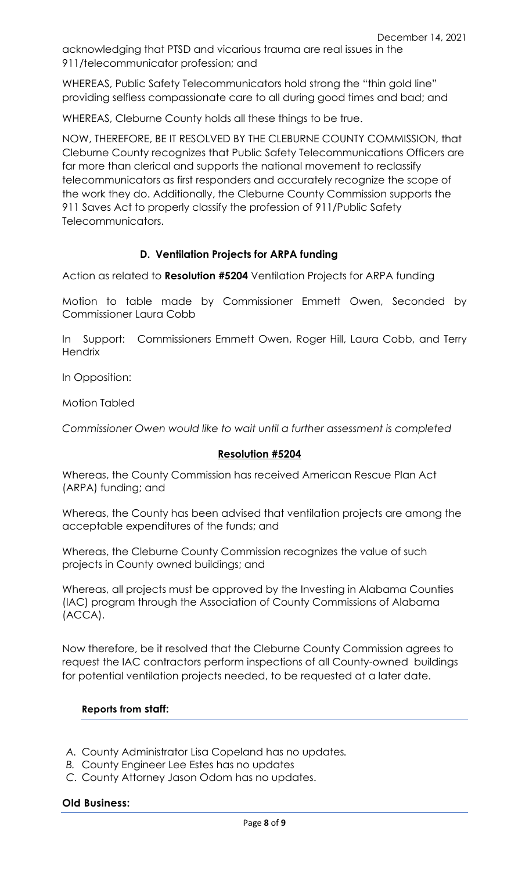acknowledging that PTSD and vicarious trauma are real issues in the 911/telecommunicator profession; and

WHEREAS, Public Safety Telecommunicators hold strong the "thin gold line" providing selfless compassionate care to all during good times and bad; and

WHEREAS, Cleburne County holds all these things to be true.

NOW, THEREFORE, BE IT RESOLVED BY THE CLEBURNE COUNTY COMMISSION, that Cleburne County recognizes that Public Safety Telecommunications Officers are far more than clerical and supports the national movement to reclassify telecommunicators as first responders and accurately recognize the scope of the work they do. Additionally, the Cleburne County Commission supports the 911 Saves Act to properly classify the profession of 911/Public Safety Telecommunicators.

# **D. Ventilation Projects for ARPA funding**

Action as related to **Resolution #5204** Ventilation Projects for ARPA funding

Motion to table made by Commissioner Emmett Owen, Seconded by Commissioner Laura Cobb

In Support: Commissioners Emmett Owen, Roger Hill, Laura Cobb, and Terry **Hendrix** 

In Opposition:

Motion Tabled

*Commissioner Owen would like to wait until a further assessment is completed*

### **Resolution #5204**

Whereas, the County Commission has received American Rescue Plan Act (ARPA) funding; and

Whereas, the County has been advised that ventilation projects are among the acceptable expenditures of the funds; and

Whereas, the Cleburne County Commission recognizes the value of such projects in County owned buildings; and

Whereas, all projects must be approved by the Investing in Alabama Counties (IAC) program through the Association of County Commissions of Alabama (ACCA).

Now therefore, be it resolved that the Cleburne County Commission agrees to request the IAC contractors perform inspections of all County-owned buildings for potential ventilation projects needed, to be requested at a later date.

## **Reports from staff:**

- *A.* County Administrator Lisa Copeland has no updates*.*
- *B.* County Engineer Lee Estes has no updates
- *C.* County Attorney Jason Odom has no updates.

### **Old Business:**